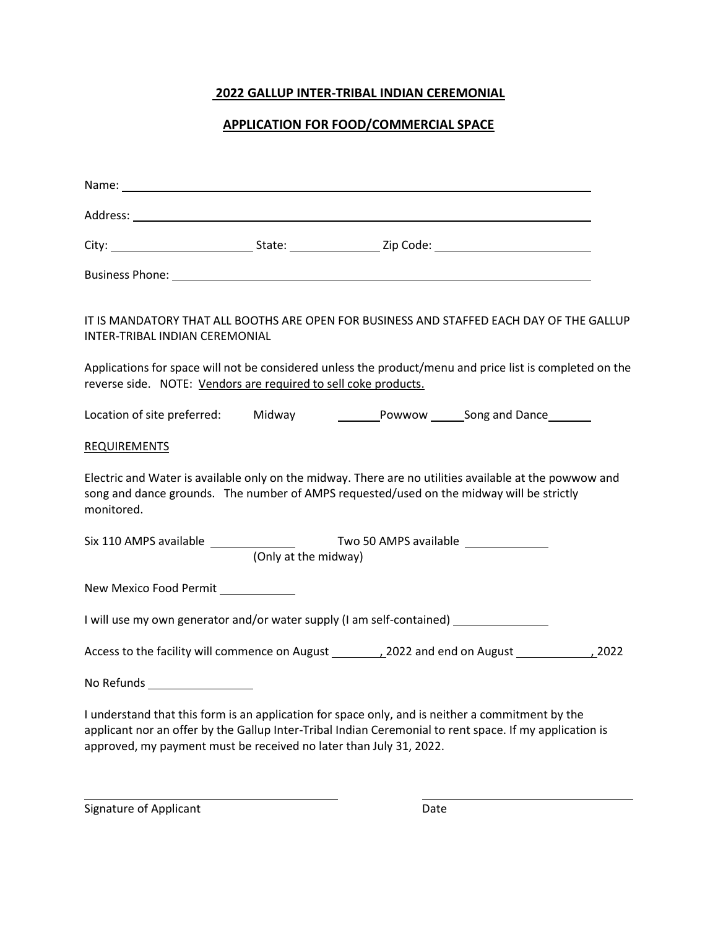## **2022 GALLUP INTER-TRIBAL INDIAN CEREMONIAL**

## **APPLICATION FOR FOOD/COMMERCIAL SPACE**

| IT IS MANDATORY THAT ALL BOOTHS ARE OPEN FOR BUSINESS AND STAFFED EACH DAY OF THE GALLUP<br>INTER-TRIBAL INDIAN CEREMONIAL                                                                                       |                      |  |  |  |
|------------------------------------------------------------------------------------------------------------------------------------------------------------------------------------------------------------------|----------------------|--|--|--|
| Applications for space will not be considered unless the product/menu and price list is completed on the<br>reverse side. NOTE: Vendors are required to sell coke products.                                      |                      |  |  |  |
|                                                                                                                                                                                                                  |                      |  |  |  |
| REQUIREMENTS                                                                                                                                                                                                     |                      |  |  |  |
| Electric and Water is available only on the midway. There are no utilities available at the powwow and<br>song and dance grounds. The number of AMPS requested/used on the midway will be strictly<br>monitored. |                      |  |  |  |
|                                                                                                                                                                                                                  | (Only at the midway) |  |  |  |
| New Mexico Food Permit ____________                                                                                                                                                                              |                      |  |  |  |
| I will use my own generator and/or water supply (I am self-contained) __________                                                                                                                                 |                      |  |  |  |
|                                                                                                                                                                                                                  |                      |  |  |  |
| No Refunds ___________________                                                                                                                                                                                   |                      |  |  |  |
| I understand that this form is an application for space only, and is neither a commitment by the                                                                                                                 |                      |  |  |  |

applicant nor an offer by the Gallup Inter-Tribal Indian Ceremonial to rent space. If my application is approved, my payment must be received no later than July 31, 2022.

Signature of Applicant Date